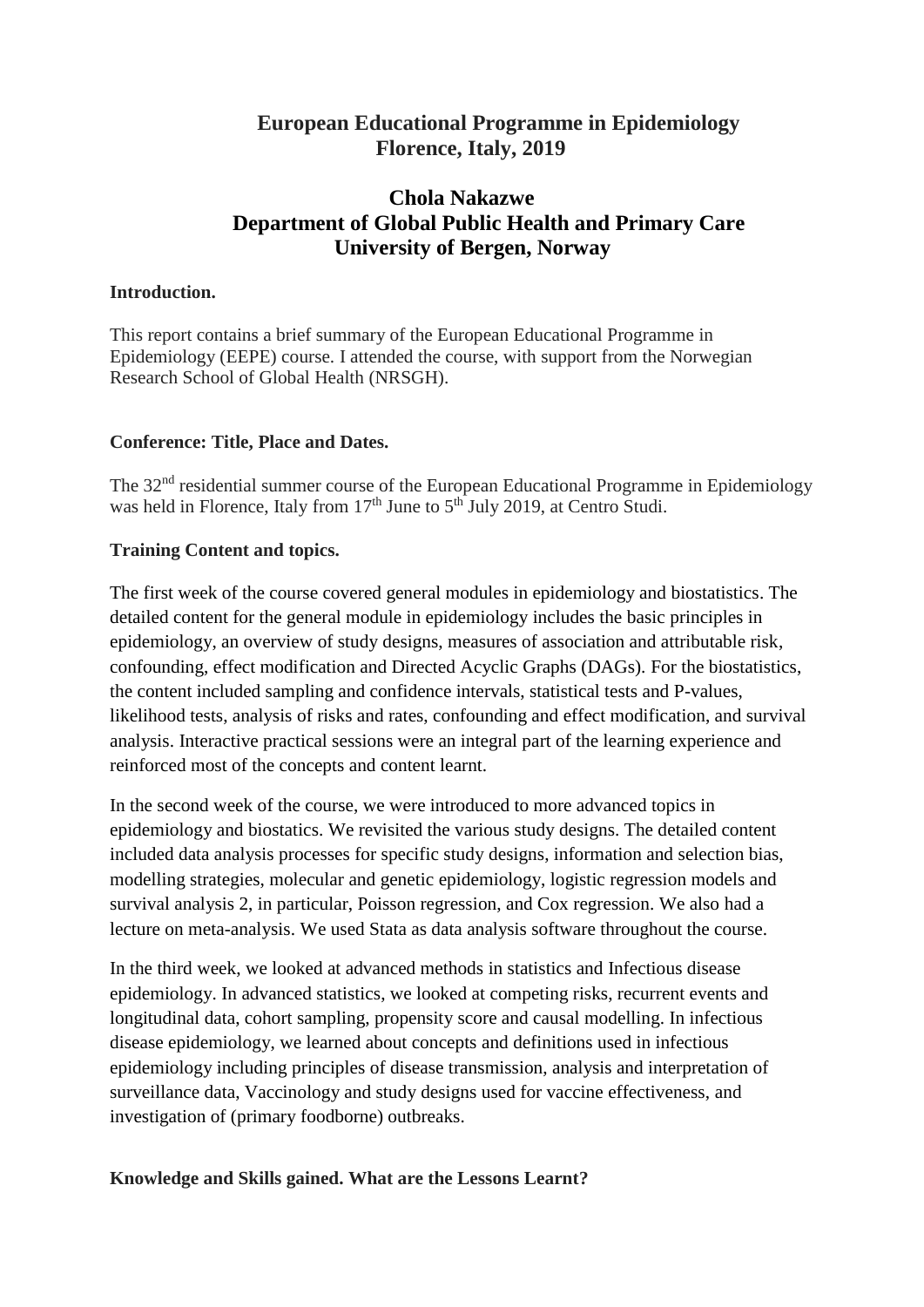# **European Educational Programme in Epidemiology Florence, Italy, 2019**

# **Chola Nakazwe Department of Global Public Health and Primary Care University of Bergen, Norway**

### **Introduction.**

This report contains a brief summary of the European Educational Programme in Epidemiology (EEPE) course. I attended the course, with support from the Norwegian Research School of Global Health (NRSGH).

#### **Conference: Title, Place and Dates.**

The 32<sup>nd</sup> residential summer course of the European Educational Programme in Epidemiology was held in Florence, Italy from 17<sup>th</sup> June to 5<sup>th</sup> July 2019, at Centro Studi.

## **Training Content and topics.**

The first week of the course covered general modules in epidemiology and biostatistics. The detailed content for the general module in epidemiology includes the basic principles in epidemiology, an overview of study designs, measures of association and attributable risk, confounding, effect modification and Directed Acyclic Graphs (DAGs). For the biostatistics, the content included sampling and confidence intervals, statistical tests and P-values, likelihood tests, analysis of risks and rates, confounding and effect modification, and survival analysis. Interactive practical sessions were an integral part of the learning experience and reinforced most of the concepts and content learnt.

In the second week of the course, we were introduced to more advanced topics in epidemiology and biostatics. We revisited the various study designs. The detailed content included data analysis processes for specific study designs, information and selection bias, modelling strategies, molecular and genetic epidemiology, logistic regression models and survival analysis 2, in particular, Poisson regression, and Cox regression. We also had a lecture on meta-analysis. We used Stata as data analysis software throughout the course.

In the third week, we looked at advanced methods in statistics and Infectious disease epidemiology. In advanced statistics, we looked at competing risks, recurrent events and longitudinal data, cohort sampling, propensity score and causal modelling. In infectious disease epidemiology, we learned about concepts and definitions used in infectious epidemiology including principles of disease transmission, analysis and interpretation of surveillance data, Vaccinology and study designs used for vaccine effectiveness, and investigation of (primary foodborne) outbreaks.

## **Knowledge and Skills gained. What are the Lessons Learnt?**